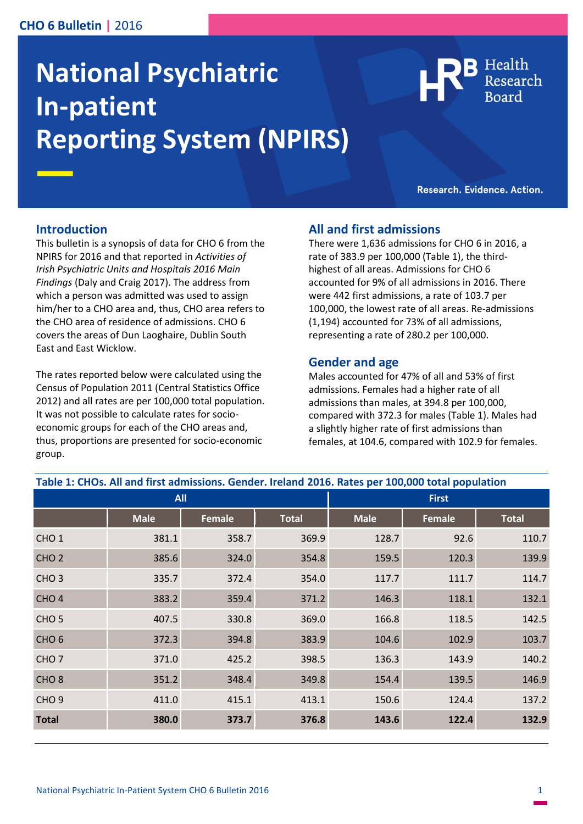# **CHO 6 Bulletin |** 2016

# **National Psychiatric In-patient Reporting System (NPIRS)**



Research. Evidence. Action.

# **Introduction**

This bulletin is a synopsis of data for CHO 6 from the NPIRS for 2016 and that reported in *Activities of Irish Psychiatric Units and Hospitals 2016 Main Findings* (Daly and Craig 2017). The address from which a person was admitted was used to assign him/her to a CHO area and, thus, CHO area refers to the CHO area of residence of admissions. CHO 6 covers the areas of Dun Laoghaire, Dublin South East and East Wicklow.

The rates reported below were calculated using the Census of Population 2011 (Central Statistics Office 2012) and all rates are per 100,000 total population. It was not possible to calculate rates for socioeconomic groups for each of the CHO areas and, thus, proportions are presented for socio-economic group.

# **All and first admissions**

There were 1,636 admissions for CHO 6 in 2016, a rate of 383.9 per 100,000 (Table 1), the thirdhighest of all areas. Admissions for CHO 6 accounted for 9% of all admissions in 2016. There were 442 first admissions, a rate of 103.7 per 100,000, the lowest rate of all areas. Re-admissions (1,194) accounted for 73% of all admissions, representing a rate of 280.2 per 100,000.

# **Gender and age**

Males accounted for 47% of all and 53% of first admissions. Females had a higher rate of all admissions than males, at 394.8 per 100,000, compared with 372.3 for males (Table 1). Males had a slightly higher rate of first admissions than females, at 104.6, compared with 102.9 for females.

| Table 1: CHOs. All and first admissions. Gender. Ireland 2016. Rates per 100,000 total population |             |               |              |              |               |              |
|---------------------------------------------------------------------------------------------------|-------------|---------------|--------------|--------------|---------------|--------------|
| <b>All</b>                                                                                        |             |               |              | <b>First</b> |               |              |
|                                                                                                   | <b>Male</b> | <b>Female</b> | <b>Total</b> | <b>Male</b>  | <b>Female</b> | <b>Total</b> |
| CHO <sub>1</sub>                                                                                  | 381.1       | 358.7         | 369.9        | 128.7        | 92.6          | 110.7        |
| CHO <sub>2</sub>                                                                                  | 385.6       | 324.0         | 354.8        | 159.5        | 120.3         | 139.9        |
| CHO <sub>3</sub>                                                                                  | 335.7       | 372.4         | 354.0        | 117.7        | 111.7         | 114.7        |
| CHO <sub>4</sub>                                                                                  | 383.2       | 359.4         | 371.2        | 146.3        | 118.1         | 132.1        |
| CHO <sub>5</sub>                                                                                  | 407.5       | 330.8         | 369.0        | 166.8        | 118.5         | 142.5        |
| CHO <sub>6</sub>                                                                                  | 372.3       | 394.8         | 383.9        | 104.6        | 102.9         | 103.7        |
| CHO <sub>7</sub>                                                                                  | 371.0       | 425.2         | 398.5        | 136.3        | 143.9         | 140.2        |
| CHO <sub>8</sub>                                                                                  | 351.2       | 348.4         | 349.8        | 154.4        | 139.5         | 146.9        |
| CHO <sub>9</sub>                                                                                  | 411.0       | 415.1         | 413.1        | 150.6        | 124.4         | 137.2        |
| <b>Total</b>                                                                                      | 380.0       | 373.7         | 376.8        | 143.6        | 122.4         | 132.9        |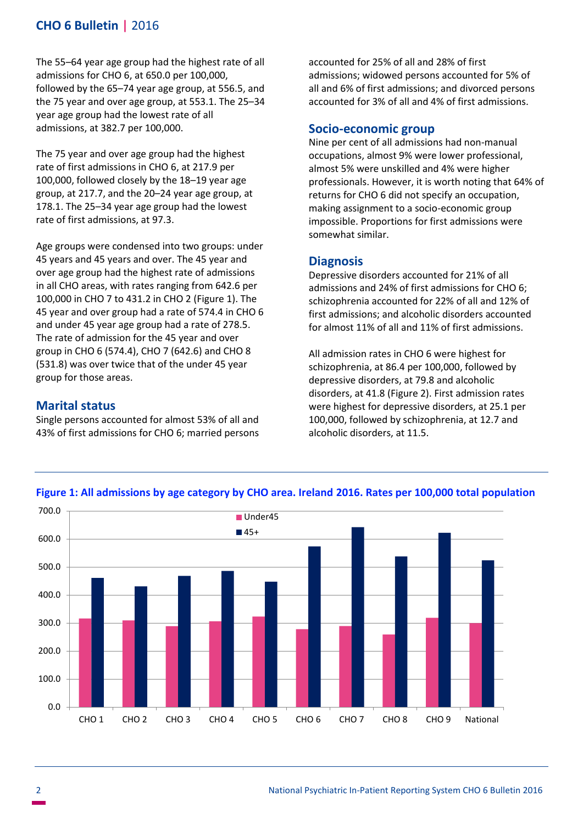# **CHO 6 Bulletin |** 2016

The 55–64 year age group had the highest rate of all admissions for CHO 6, at 650.0 per 100,000, followed by the 65–74 year age group, at 556.5, and the 75 year and over age group, at 553.1. The 25–34 year age group had the lowest rate of all admissions, at 382.7 per 100,000.

The 75 year and over age group had the highest rate of first admissions in CHO 6, at 217.9 per 100,000, followed closely by the 18–19 year age group, at 217.7, and the 20–24 year age group, at 178.1. The 25–34 year age group had the lowest rate of first admissions, at 97.3.

Age groups were condensed into two groups: under 45 years and 45 years and over. The 45 year and over age group had the highest rate of admissions in all CHO areas, with rates ranging from 642.6 per 100,000 in CHO 7 to 431.2 in CHO 2 (Figure 1). The 45 year and over group had a rate of 574.4 in CHO 6 and under 45 year age group had a rate of 278.5. The rate of admission for the 45 year and over group in CHO 6 (574.4), CHO 7 (642.6) and CHO 8 (531.8) was over twice that of the under 45 year group for those areas.

# **Marital status**

Single persons accounted for almost 53% of all and 43% of first admissions for CHO 6; married persons accounted for 25% of all and 28% of first admissions; widowed persons accounted for 5% of all and 6% of first admissions; and divorced persons accounted for 3% of all and 4% of first admissions.

## **Socio-economic group**

Nine per cent of all admissions had non-manual occupations, almost 9% were lower professional, almost 5% were unskilled and 4% were higher professionals. However, it is worth noting that 64% of returns for CHO 6 did not specify an occupation, making assignment to a socio-economic group impossible. Proportions for first admissions were somewhat similar.

#### **Diagnosis**

Depressive disorders accounted for 21% of all admissions and 24% of first admissions for CHO 6; schizophrenia accounted for 22% of all and 12% of first admissions; and alcoholic disorders accounted for almost 11% of all and 11% of first admissions.

All admission rates in CHO 6 were highest for schizophrenia, at 86.4 per 100,000, followed by depressive disorders, at 79.8 and alcoholic disorders, at 41.8 (Figure 2). First admission rates were highest for depressive disorders, at 25.1 per 100,000, followed by schizophrenia, at 12.7 and alcoholic disorders, at 11.5.



#### **Figure 1: All admissions by age category by CHO area. Ireland 2016. Rates per 100,000 total population**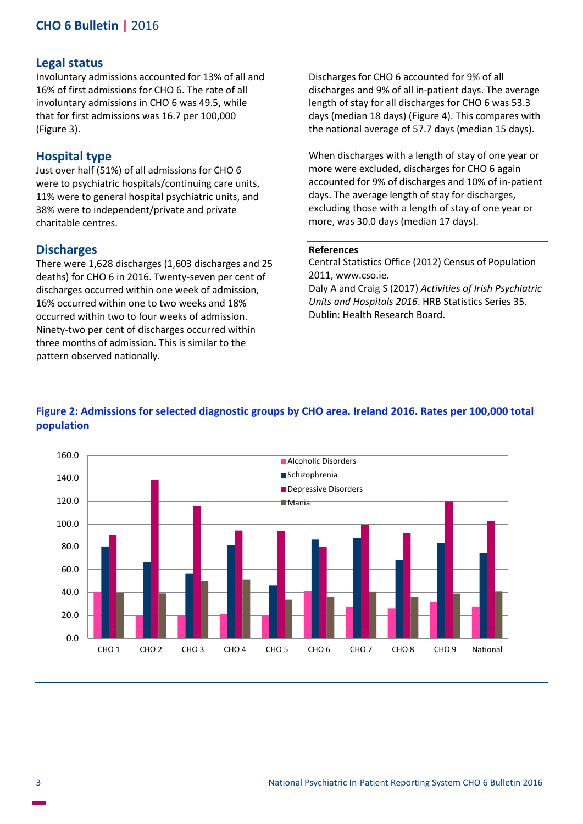# **CHO 6 Bulletin |** 2016

# **Legal status**

Involuntary admissions accounted for 13% of all and 16% of first admissions for CHO 6. The rate of all involuntary admissions in CHO 6 was 49.5, while that for first admissions was 16.7 per 100,000 (Figure 3).

# **Hospital type**

Just over half (51%) of all admissions for CHO 6 were to psychiatric hospitals/continuing care units, 11% were to general hospital psychiatric units, and 38% were to independent/private and private charitable centres.

#### **Discharges**

There were 1,628 discharges (1,603 discharges and 25 deaths) for CHO 6 in 2016. Twenty-seven per cent of discharges occurred within one week of admission, 16% occurred within one to two weeks and 18% occurred within two to four weeks of admission. Ninety-two per cent of discharges occurred within three months of admission. This is similar to the pattern observed nationally.

Discharges for CHO 6 accounted for 9% of all discharges and 9% of all in-patient days. The average length of stay for all discharges for CHO 6 was 53.3 days (median 18 days) (Figure 4). This compares with the national average of 57.7 days (median 15 days).

When discharges with a length of stay of one year or more were excluded, discharges for CHO 6 again accounted for 9% of discharges and 10% of in-patient days. The average length of stay for discharges, excluding those with a length of stay of one year or more, was 30.0 days (median 17 days).

#### **References**

Central Statistics Office (2012) Census of Population 2011, www.cso.ie.

Daly A and Craig S (2017) *Activities of Irish Psychiatric Units and Hospitals 2016*. HRB Statistics Series 35. Dublin: Health Research Board.

# **Figure 2: Admissions for selected diagnostic groups by CHO area. Ireland 2016. Rates per 100,000 total population**